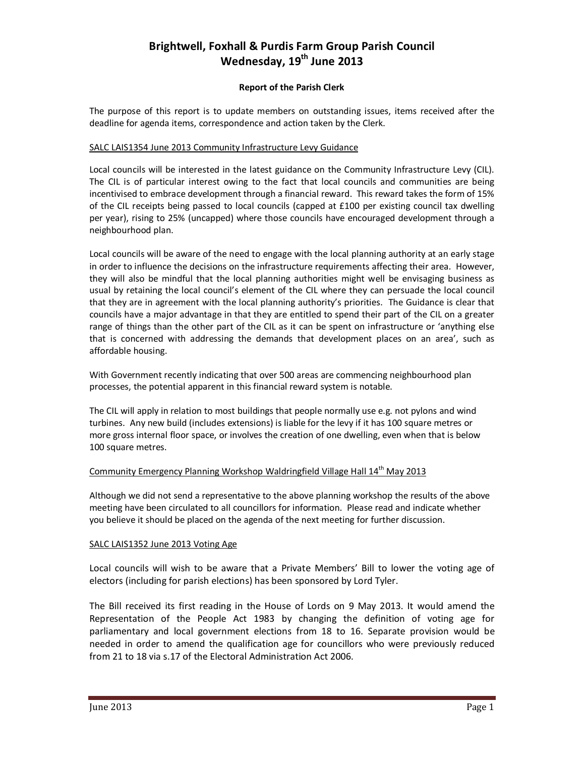# **Brightwell, Foxhall & Purdis Farm Group Parish Council Wednesday, 19th June 2013**

## **Report of the Parish Clerk**

The purpose of this report is to update members on outstanding issues, items received after the deadline for agenda items, correspondence and action taken by the Clerk.

#### SALC LAIS1354 June 2013 Community Infrastructure Levy Guidance

Local councils will be interested in the latest guidance on the Community Infrastructure Levy (CIL). The CIL is of particular interest owing to the fact that local councils and communities are being incentivised to embrace development through a financial reward. This reward takes the form of 15% of the CIL receipts being passed to local councils (capped at £100 per existing council tax dwelling per year), rising to 25% (uncapped) where those councils have encouraged development through a neighbourhood plan.

Local councils will be aware of the need to engage with the local planning authority at an early stage in order to influence the decisions on the infrastructure requirements affecting their area. However, they will also be mindful that the local planning authorities might well be envisaging business as usual by retaining the local council's element of the CIL where they can persuade the local council that they are in agreement with the local planning authority's priorities. The Guidance is clear that councils have a major advantage in that they are entitled to spend their part of the CIL on a greater range of things than the other part of the CIL as it can be spent on infrastructure or 'anything else that is concerned with addressing the demands that development places on an area', such as affordable housing.

With Government recently indicating that over 500 areas are commencing neighbourhood plan processes, the potential apparent in this financial reward system is notable.

The CIL will apply in relation to most buildings that people normally use e.g. not pylons and wind turbines. Any new build (includes extensions) is liable for the levy if it has 100 square metres or more gross internal floor space, or involves the creation of one dwelling, even when that is below 100 square metres.

### Community Emergency Planning Workshop Waldringfield Village Hall 14<sup>th</sup> May 2013

Although we did not send a representative to the above planning workshop the results of the above meeting have been circulated to all councillors for information. Please read and indicate whether you believe it should be placed on the agenda of the next meeting for further discussion.

#### SALC LAIS1352 June 2013 Voting Age

Local councils will wish to be aware that a Private Members' Bill to lower the voting age of electors (including for parish elections) has been sponsored by Lord Tyler.

The Bill received its first reading in the House of Lords on 9 May 2013. It would amend the Representation of the People Act 1983 by changing the definition of voting age for parliamentary and local government elections from 18 to 16. Separate provision would be needed in order to amend the qualification age for councillors who were previously reduced from 21 to 18 via s.17 of the Electoral Administration Act 2006.